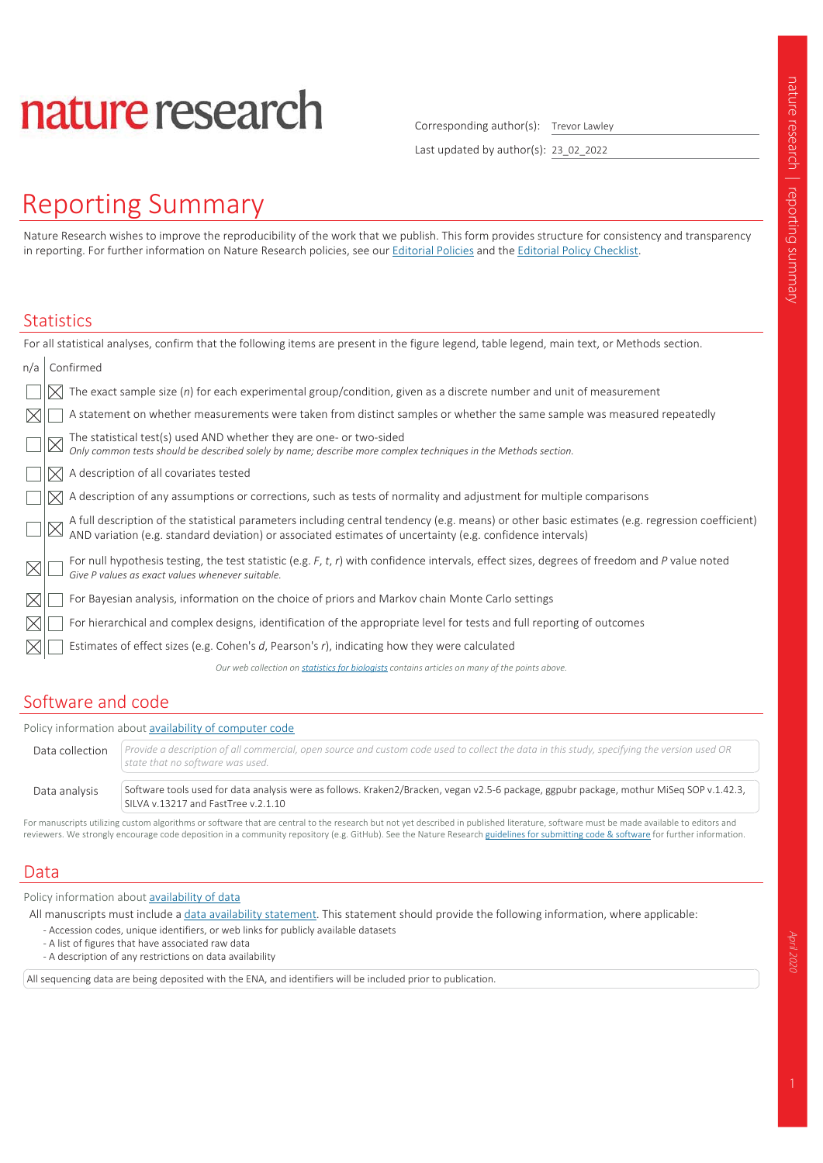# nature research

Corresponding author(s): Trevor Lawley

Last updated by author(s): 23 02 2022

# **Reporting Summary**

Nature Research wishes to improve the reproducibility of the work that we publish. This form provides structure for consistency and transparency in reporting. For further information on Nature Research policies, see our Editorial Policies and the Editorial Policy Checklist.

#### **Statistics**

| For all statistical analyses, confirm that the following items are present in the figure legend, table legend, main text, or Methods section.                                                                                  |
|--------------------------------------------------------------------------------------------------------------------------------------------------------------------------------------------------------------------------------|
| Confirmed<br>n/a                                                                                                                                                                                                               |
| The exact sample size $(n)$ for each experimental group/condition, given as a discrete number and unit of measurement                                                                                                          |
| A statement on whether measurements were taken from distinct samples or whether the same sample was measured repeatedly<br>IX                                                                                                  |
| The statistical test(s) used AND whether they are one- or two-sided<br>Only common tests should be described solely by name; describe more complex techniques in the Methods section.                                          |
| A description of all covariates tested                                                                                                                                                                                         |
| A description of any assumptions or corrections, such as tests of normality and adjustment for multiple comparisons                                                                                                            |
| A full description of the statistical parameters including central tendency (e.g. means) or other basic estimates (e.g. regression coefficient) AND variation (e.g. standard deviation) or associated estimates of uncertainty |
| For null hypothesis testing, the test statistic (e.g. $F$ , $t$ , $r$ ) with confidence intervals, effect sizes, degrees of freedom and $P$ value noted<br>Give P values as exact values whenever suitable.                    |
| For Bayesian analysis, information on the choice of priors and Markov chain Monte Carlo settings                                                                                                                               |
| For hierarchical and complex designs, identification of the appropriate level for tests and full reporting of outcomes<br>$\times$                                                                                             |
| Estimates of effect sizes (e.g. Cohen's $d$ , Pearson's $r$ ), indicating how they were calculated                                                                                                                             |
| Our web collection on statistics for biologists contains articles on many of the points above.                                                                                                                                 |
|                                                                                                                                                                                                                                |

### Software and code

Policy information about availability of computer code

Provide a description of all commercial, open source and custom code used to collect the data in this study, specifying the version used OR Data collection state that no software was used.

Data analysis Software tools used for data analysis were as follows. Kraken2/Bracken, vegan v2.5-6 package, ggpubr package, mothur MiSeq SOP v.1.42.3, SILVA v.13217 and FastTree v.2.1.10

For manuscripts utilizing custom algorithms or software that are central to the research but not yet described in published literature, software must be made available to editors and reviewers. We strongly encourage code deposition in a community repository (e.g. GitHub). See the Nature Research guidelines for submitting code & software for further information.

### Data

Policy information about availability of data

All manuscripts must include a data availability statement. This statement should provide the following information, where applicable:

- Accession codes, unique identifiers, or web links for publicly available datasets
- A list of figures that have associated raw data
- A description of any restrictions on data availability

All sequencing data are being deposited with the ENA, and identifiers will be included prior to publication.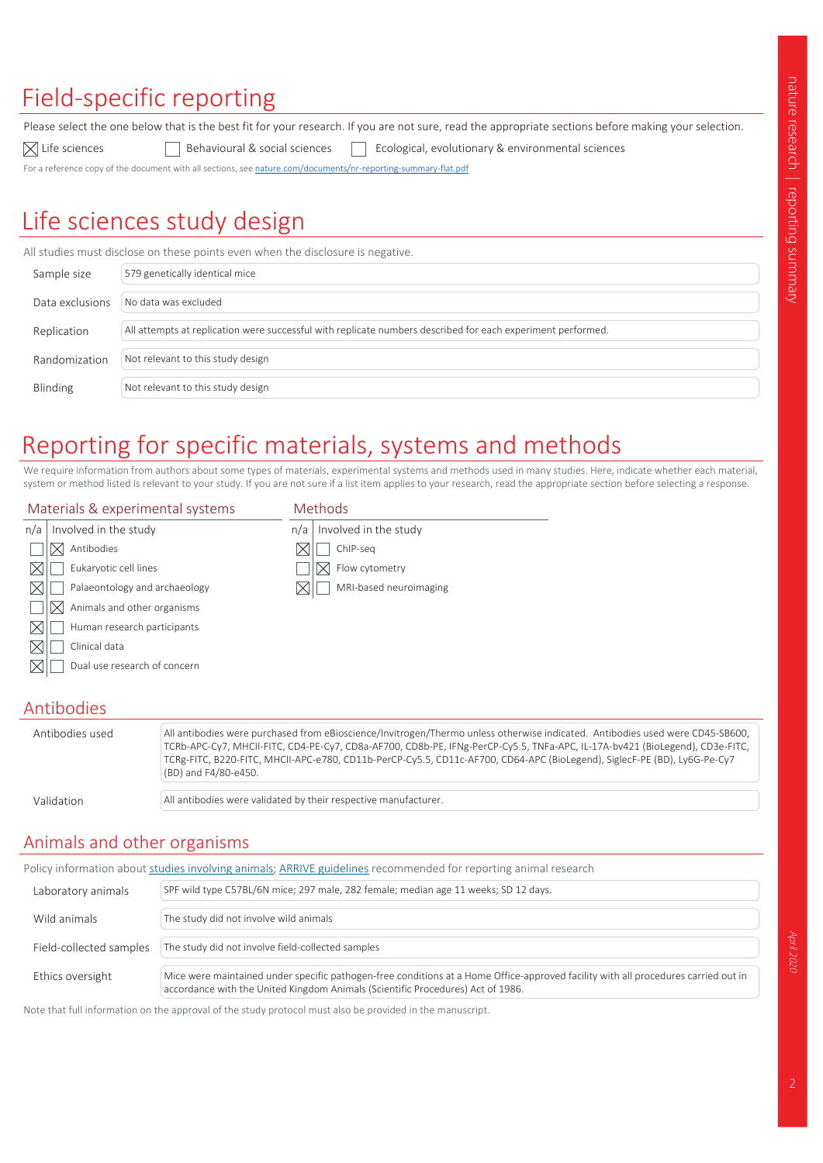# Field-specific reporting

 $\boxtimes$  Life sciences

Please select the one below that is the best fit for your research. If you are not sure, read the appropriate sections before making your selection.

 $\Box$  Behavioural & social sciences Ecological, evolutionary & environmental sciences

For a reference copy of the document with all sections, see nature.com/documents/nr-reporting-summary-flat.pdf

# Life sciences study design

All studies must disclose on these points even when the disclosure is negative.

| Sample size     | 579 genetically identical mice                                                                              |
|-----------------|-------------------------------------------------------------------------------------------------------------|
| Data exclusions | No data was excluded                                                                                        |
| Replication     | All attempts at replication were successful with replicate numbers described for each experiment performed. |
| Randomization   | Not relevant to this study design                                                                           |
| Blinding        | Not relevant to this study design                                                                           |

# Reporting for specific materials, systems and methods

Methods

We require information from authors about some types of materials, experimental systems and methods used in many studies. Here, indicate whether each material, system or method listed is relevant to your study. If you are not sure if a list item applies to your research, read the appropriate section before selecting a response.

#### Materials & experimental systems

|                               | n/a                   | Involved in the study  |
|-------------------------------|-----------------------|------------------------|
| Antibodies                    |                       | ChIP-seg               |
| Eukaryotic cell lines         |                       | Flow cytometry         |
| Palaeontology and archaeology |                       | MRI-based neuroimaging |
| Animals and other organisms   |                       |                        |
| Human research participants   |                       |                        |
| Clinical data                 |                       |                        |
| Dual use research of concern  |                       |                        |
|                               | Involved in the study |                        |

### Antibodies

| Antibodies used | All antibodies were purchased from eBioscience/Invitrogen/Thermo unless otherwise indicated. Antibodies used were CD45-SB600,<br>TCRb-APC-Cy7, MHCII-FITC, CD4-PE-Cy7, CD8a-AF700, CD8b-PE, IFNg-PerCP-Cy5.5, TNFa-APC, IL-17A-bv421 (BioLegend), CD3e-FITC,<br>TCRg-FITC, B220-FITC, MHCII-APC-e780, CD11b-PerCP-Cy5.5, CD11c-AF700, CD64-APC (BioLegend), SiglecF-PE (BD), Ly6G-Pe-Cy7<br>(BD) and F4/80-e450. |
|-----------------|------------------------------------------------------------------------------------------------------------------------------------------------------------------------------------------------------------------------------------------------------------------------------------------------------------------------------------------------------------------------------------------------------------------|
| Validation      | All antibodies were validated by their respective manufacturer.                                                                                                                                                                                                                                                                                                                                                  |

### Animals and other organisms

| Policy information about studies involving animals; ARRIVE guidelines recommended for reporting animal research |                                                                                                                                                                                                                       |  |  |  |  |
|-----------------------------------------------------------------------------------------------------------------|-----------------------------------------------------------------------------------------------------------------------------------------------------------------------------------------------------------------------|--|--|--|--|
| Laboratory animals                                                                                              | SPF wild type C57BL/6N mice; 297 male, 282 female; median age 11 weeks; SD 12 days.                                                                                                                                   |  |  |  |  |
| Wild animals                                                                                                    | The study did not involve wild animals                                                                                                                                                                                |  |  |  |  |
| Field-collected samples                                                                                         | The study did not involve field-collected samples                                                                                                                                                                     |  |  |  |  |
| Ethics oversight                                                                                                | Mice were maintained under specific pathogen-free conditions at a Home Office-approved facility with all procedures carried out in<br>accordance with the United Kingdom Animals (Scientific Procedures) Act of 1986. |  |  |  |  |

Note that full information on the approval of the study protocol must also be provided in the manuscript.